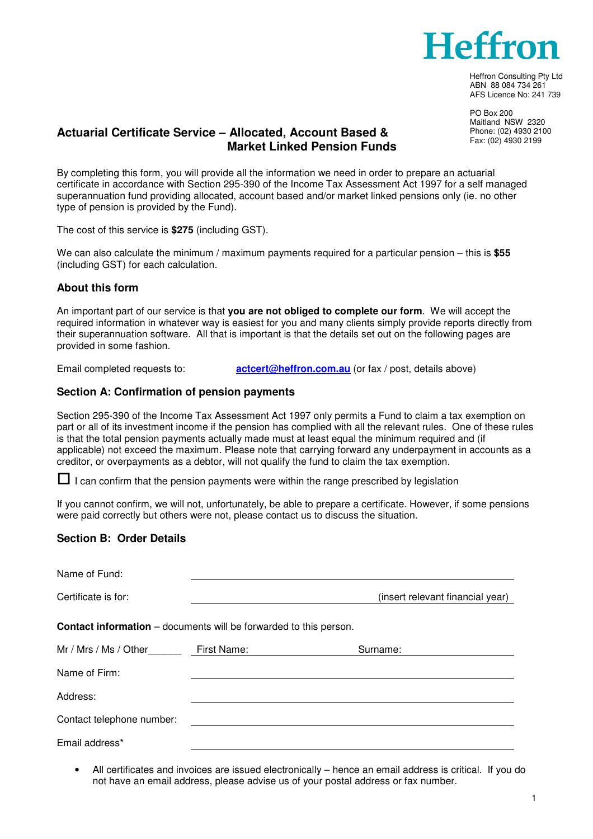

Heffron Consulting Pty Ltd ABN 88 084 734 261 AFS Licence No: 241 739

 PO Box 200 Maitland NSW 2320 Phone: (02) 4930 2100 Fax: (02) 4930 2199

## **Actuarial Certificate Service – Allocated, Account Based & Market Linked Pension Funds**

By completing this form, you will provide all the information we need in order to prepare an actuarial certificate in accordance with Section 295-390 of the Income Tax Assessment Act 1997 for a self managed superannuation fund providing allocated, account based and/or market linked pensions only (ie. no other type of pension is provided by the Fund).

The cost of this service is **\$275** (including GST).

We can also calculate the minimum / maximum payments required for a particular pension – this is **\$55** (including GST) for each calculation.

## **About this form**

An important part of our service is that **you are not obliged to complete our form**. We will accept the required information in whatever way is easiest for you and many clients simply provide reports directly from their superannuation software. All that is important is that the details set out on the following pages are provided in some fashion.

Email completed requests to: **actcert@heffron.com.au** (or fax / post, details above)

#### **Section A: Confirmation of pension payments**

Section 295-390 of the Income Tax Assessment Act 1997 only permits a Fund to claim a tax exemption on part or all of its investment income if the pension has complied with all the relevant rules. One of these rules is that the total pension payments actually made must at least equal the minimum required and (if applicable) not exceed the maximum. Please note that carrying forward any underpayment in accounts as a creditor, or overpayments as a debtor, will not qualify the fund to claim the tax exemption.

 $\Box$  I can confirm that the pension payments were within the range prescribed by legislation

If you cannot confirm, we will not, unfortunately, be able to prepare a certificate. However, if some pensions were paid correctly but others were not, please contact us to discuss the situation.

#### **Section B: Order Details**

| Name of Fund:                                                            |             |                                  |  |  |  |  |  |  |  |
|--------------------------------------------------------------------------|-------------|----------------------------------|--|--|--|--|--|--|--|
| Certificate is for:                                                      |             | (insert relevant financial year) |  |  |  |  |  |  |  |
| <b>Contact information</b> – documents will be forwarded to this person. |             |                                  |  |  |  |  |  |  |  |
| Mr / Mrs / Ms / Other                                                    | First Name: | Surname:                         |  |  |  |  |  |  |  |
| Name of Firm:                                                            |             |                                  |  |  |  |  |  |  |  |
| Address:                                                                 |             |                                  |  |  |  |  |  |  |  |
| Contact telephone number:                                                |             |                                  |  |  |  |  |  |  |  |
| Email address*                                                           |             |                                  |  |  |  |  |  |  |  |

• All certificates and invoices are issued electronically – hence an email address is critical. If you do not have an email address, please advise us of your postal address or fax number.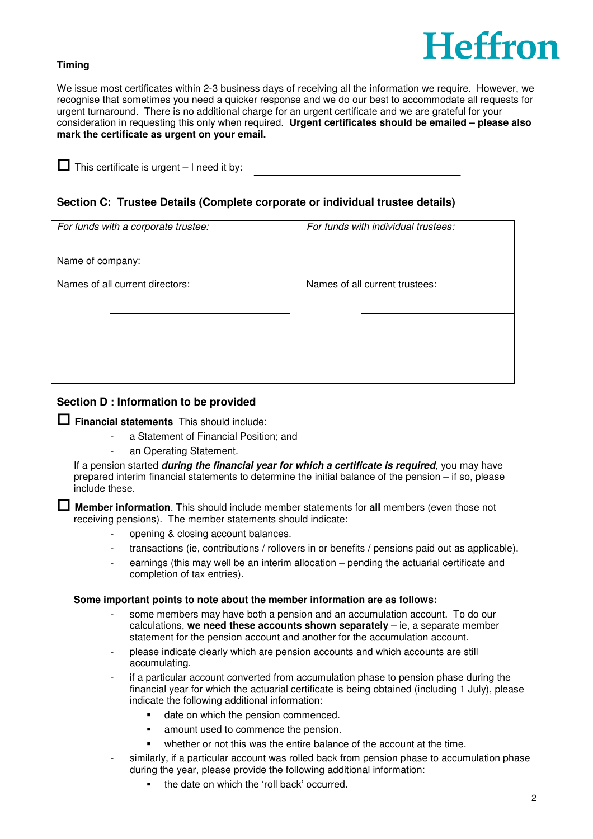

## **Timing**

We issue most certificates within 2-3 business days of receiving all the information we require. However, we recognise that sometimes you need a quicker response and we do our best to accommodate all requests for urgent turnaround. There is no additional charge for an urgent certificate and we are grateful for your consideration in requesting this only when required. **Urgent certificates should be emailed – please also mark the certificate as urgent on your email.**

 $\Box$  This certificate is urgent  $-1$  need it by:

## **Section C: Trustee Details (Complete corporate or individual trustee details)**

|                                 | For funds with a corporate trustee: | For funds with individual trustees: |  |
|---------------------------------|-------------------------------------|-------------------------------------|--|
| Name of company:                |                                     |                                     |  |
| Names of all current directors: |                                     | Names of all current trustees:      |  |
|                                 |                                     |                                     |  |
|                                 |                                     |                                     |  |
|                                 |                                     |                                     |  |
|                                 |                                     |                                     |  |

## **Section D : Information to be provided**

## **Financial statements** This should include:

- a Statement of Financial Position; and
- an Operating Statement.

If a pension started **during the financial year for which a certificate is required**, you may have prepared interim financial statements to determine the initial balance of the pension – if so, please include these.

 **Member information**. This should include member statements for **all** members (even those not receiving pensions). The member statements should indicate:

- opening & closing account balances.
- transactions (ie, contributions / rollovers in or benefits / pensions paid out as applicable).
- earnings (this may well be an interim allocation pending the actuarial certificate and completion of tax entries).

#### **Some important points to note about the member information are as follows:**

- some members may have both a pension and an accumulation account. To do our calculations, **we need these accounts shown separately** – ie, a separate member statement for the pension account and another for the accumulation account.
- please indicate clearly which are pension accounts and which accounts are still accumulating.
- if a particular account converted from accumulation phase to pension phase during the financial year for which the actuarial certificate is being obtained (including 1 July), please indicate the following additional information:
	- date on which the pension commenced.
	- **amount used to commence the pension.**
	- whether or not this was the entire balance of the account at the time.
- similarly, if a particular account was rolled back from pension phase to accumulation phase during the year, please provide the following additional information:
	- the date on which the 'roll back' occurred.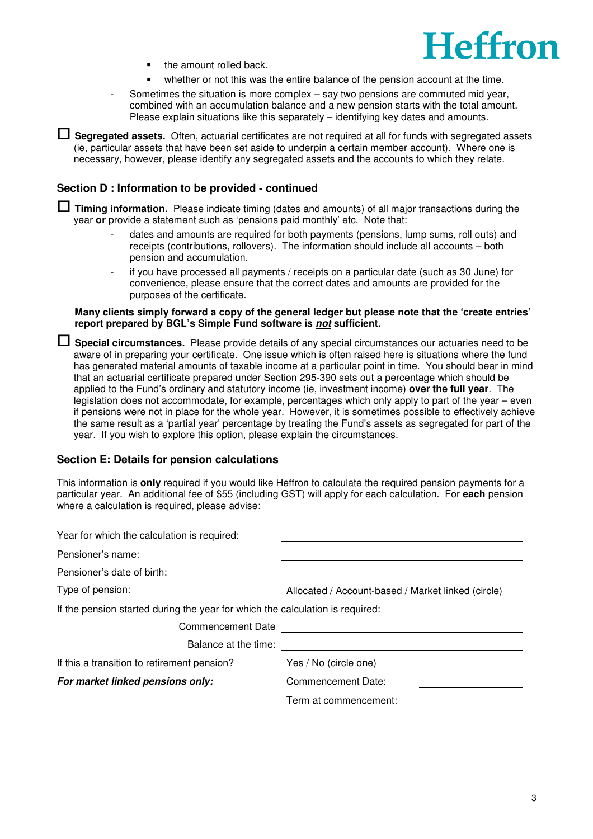

- **the amount rolled back.**
- whether or not this was the entire balance of the pension account at the time.
- Sometimes the situation is more complex say two pensions are commuted mid year, combined with an accumulation balance and a new pension starts with the total amount. Please explain situations like this separately – identifying key dates and amounts.

 **Segregated assets.** Often, actuarial certificates are not required at all for funds with segregated assets (ie, particular assets that have been set aside to underpin a certain member account). Where one is necessary, however, please identify any segregated assets and the accounts to which they relate.

## **Section D : Information to be provided - continued**

 **Timing information.** Please indicate timing (dates and amounts) of all major transactions during the year **or** provide a statement such as 'pensions paid monthly' etc. Note that:

- dates and amounts are required for both payments (pensions, lump sums, roll outs) and receipts (contributions, rollovers). The information should include all accounts – both pension and accumulation.
- if you have processed all payments / receipts on a particular date (such as 30 June) for convenience, please ensure that the correct dates and amounts are provided for the purposes of the certificate.

#### **Many clients simply forward a copy of the general ledger but please note that the 'create entries' report prepared by BGL's Simple Fund software is not sufficient.**

 **Special circumstances.** Please provide details of any special circumstances our actuaries need to be aware of in preparing your certificate. One issue which is often raised here is situations where the fund has generated material amounts of taxable income at a particular point in time. You should bear in mind that an actuarial certificate prepared under Section 295-390 sets out a percentage which should be applied to the Fund's ordinary and statutory income (ie, investment income) **over the full year**. The legislation does not accommodate, for example, percentages which only apply to part of the year – even if pensions were not in place for the whole year. However, it is sometimes possible to effectively achieve the same result as a 'partial year' percentage by treating the Fund's assets as segregated for part of the year. If you wish to explore this option, please explain the circumstances.

## **Section E: Details for pension calculations**

This information is **only** required if you would like Heffron to calculate the required pension payments for a particular year. An additional fee of \$55 (including GST) will apply for each calculation. For **each** pension where a calculation is required, please advise:

| Allocated / Account-based / Market linked (circle)                            |  |  |  |  |  |  |
|-------------------------------------------------------------------------------|--|--|--|--|--|--|
| If the pension started during the year for which the calculation is required: |  |  |  |  |  |  |
|                                                                               |  |  |  |  |  |  |
|                                                                               |  |  |  |  |  |  |
| Yes / No (circle one)                                                         |  |  |  |  |  |  |
| Commencement Date:                                                            |  |  |  |  |  |  |
| Term at commencement:                                                         |  |  |  |  |  |  |
|                                                                               |  |  |  |  |  |  |